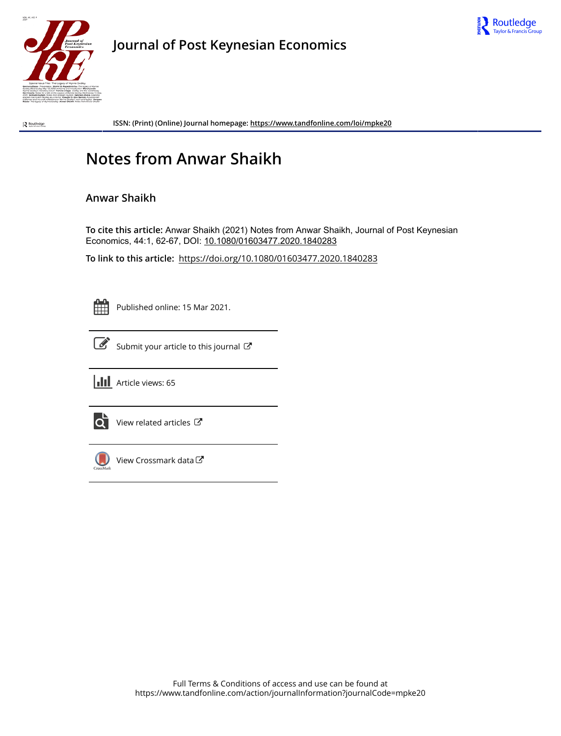



**Journal of Post Keynesian Economics**

Routledge

**ISSN: (Print) (Online) Journal homepage:<https://www.tandfonline.com/loi/mpke20>**

## **Notes from Anwar Shaikh**

## **Anwar Shaikh**

**To cite this article:** Anwar Shaikh (2021) Notes from Anwar Shaikh, Journal of Post Keynesian Economics, 44:1, 62-67, DOI: [10.1080/01603477.2020.1840283](https://www.tandfonline.com/action/showCitFormats?doi=10.1080/01603477.2020.1840283)

**To link to this article:** <https://doi.org/10.1080/01603477.2020.1840283>

Published online: 15 Mar 2021.



 $\overrightarrow{S}$  [Submit your article to this journal](https://www.tandfonline.com/action/authorSubmission?journalCode=mpke20&show=instructions)  $\overrightarrow{S}$ 





 $\overrightarrow{Q}$  [View related articles](https://www.tandfonline.com/doi/mlt/10.1080/01603477.2020.1840283)  $\overrightarrow{C}$ 



 $\bigcirc$  [View Crossmark data](http://crossmark.crossref.org/dialog/?doi=10.1080/01603477.2020.1840283&domain=pdf&date_stamp=2021-03-15)  $\mathbb{Z}$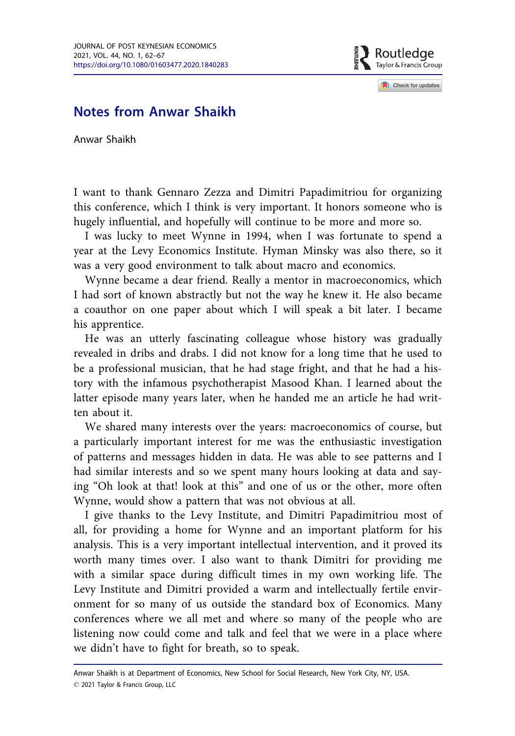Routledae Taylor & Francis Group

Check for updates

## Notes from Anwar Shaikh

Anwar Shaikh

I want to thank Gennaro Zezza and Dimitri Papadimitriou for organizing this conference, which I think is very important. It honors someone who is hugely influential, and hopefully will continue to be more and more so.

I was lucky to meet Wynne in 1994, when I was fortunate to spend a year at the Levy Economics Institute. Hyman Minsky was also there, so it was a very good environment to talk about macro and economics.

Wynne became a dear friend. Really a mentor in macroeconomics, which I had sort of known abstractly but not the way he knew it. He also became a coauthor on one paper about which I will speak a bit later. I became his apprentice.

He was an utterly fascinating colleague whose history was gradually revealed in dribs and drabs. I did not know for a long time that he used to be a professional musician, that he had stage fright, and that he had a history with the infamous psychotherapist Masood Khan. I learned about the latter episode many years later, when he handed me an article he had written about it.

We shared many interests over the years: macroeconomics of course, but a particularly important interest for me was the enthusiastic investigation of patterns and messages hidden in data. He was able to see patterns and I had similar interests and so we spent many hours looking at data and saying "Oh look at that! look at this" and one of us or the other, more often Wynne, would show a pattern that was not obvious at all.

I give thanks to the Levy Institute, and Dimitri Papadimitriou most of all, for providing a home for Wynne and an important platform for his analysis. This is a very important intellectual intervention, and it proved its worth many times over. I also want to thank Dimitri for providing me with a similar space during difficult times in my own working life. The Levy Institute and Dimitri provided a warm and intellectually fertile environment for so many of us outside the standard box of Economics. Many conferences where we all met and where so many of the people who are listening now could come and talk and feel that we were in a place where we didn't have to fight for breath, so to speak.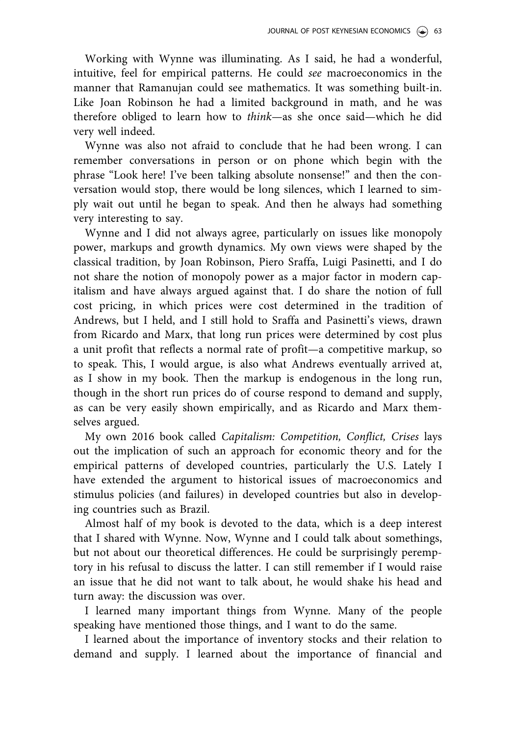Working with Wynne was illuminating. As I said, he had a wonderful, intuitive, feel for empirical patterns. He could see macroeconomics in the manner that Ramanujan could see mathematics. It was something built-in. Like Joan Robinson he had a limited background in math, and he was therefore obliged to learn how to think—as she once said—which he did very well indeed.

Wynne was also not afraid to conclude that he had been wrong. I can remember conversations in person or on phone which begin with the phrase "Look here! I've been talking absolute nonsense!" and then the conversation would stop, there would be long silences, which I learned to simply wait out until he began to speak. And then he always had something very interesting to say.

Wynne and I did not always agree, particularly on issues like monopoly power, markups and growth dynamics. My own views were shaped by the classical tradition, by Joan Robinson, Piero Sraffa, Luigi Pasinetti, and I do not share the notion of monopoly power as a major factor in modern capitalism and have always argued against that. I do share the notion of full cost pricing, in which prices were cost determined in the tradition of Andrews, but I held, and I still hold to Sraffa and Pasinetti's views, drawn from Ricardo and Marx, that long run prices were determined by cost plus a unit profit that reflects a normal rate of profit—a competitive markup, so to speak. This, I would argue, is also what Andrews eventually arrived at, as I show in my book. Then the markup is endogenous in the long run, though in the short run prices do of course respond to demand and supply, as can be very easily shown empirically, and as Ricardo and Marx themselves argued.

My own 2016 book called Capitalism: Competition, Conflict, Crises lays out the implication of such an approach for economic theory and for the empirical patterns of developed countries, particularly the U.S. Lately I have extended the argument to historical issues of macroeconomics and stimulus policies (and failures) in developed countries but also in developing countries such as Brazil.

Almost half of my book is devoted to the data, which is a deep interest that I shared with Wynne. Now, Wynne and I could talk about somethings, but not about our theoretical differences. He could be surprisingly peremptory in his refusal to discuss the latter. I can still remember if I would raise an issue that he did not want to talk about, he would shake his head and turn away: the discussion was over.

I learned many important things from Wynne. Many of the people speaking have mentioned those things, and I want to do the same.

I learned about the importance of inventory stocks and their relation to demand and supply. I learned about the importance of financial and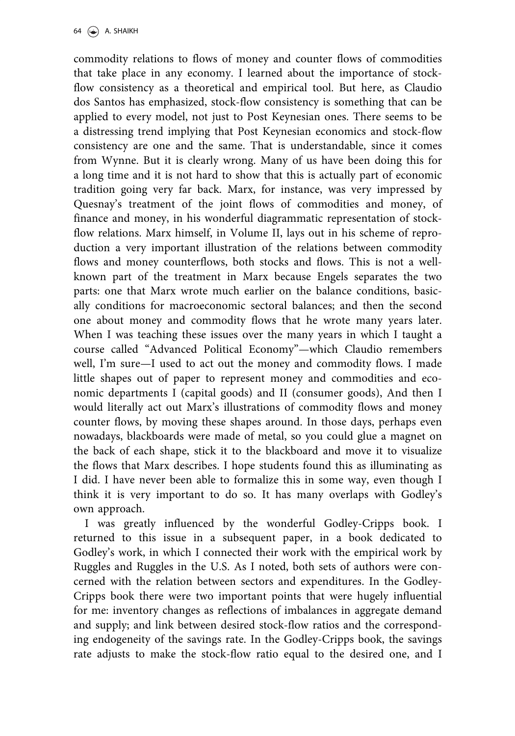commodity relations to flows of money and counter flows of commodities that take place in any economy. I learned about the importance of stockflow consistency as a theoretical and empirical tool. But here, as Claudio dos Santos has emphasized, stock-flow consistency is something that can be applied to every model, not just to Post Keynesian ones. There seems to be a distressing trend implying that Post Keynesian economics and stock-flow consistency are one and the same. That is understandable, since it comes from Wynne. But it is clearly wrong. Many of us have been doing this for a long time and it is not hard to show that this is actually part of economic tradition going very far back. Marx, for instance, was very impressed by Quesnay's treatment of the joint flows of commodities and money, of finance and money, in his wonderful diagrammatic representation of stockflow relations. Marx himself, in Volume II, lays out in his scheme of reproduction a very important illustration of the relations between commodity flows and money counterflows, both stocks and flows. This is not a wellknown part of the treatment in Marx because Engels separates the two parts: one that Marx wrote much earlier on the balance conditions, basically conditions for macroeconomic sectoral balances; and then the second one about money and commodity flows that he wrote many years later. When I was teaching these issues over the many years in which I taught a course called "Advanced Political Economy"—which Claudio remembers well, I'm sure—I used to act out the money and commodity flows. I made little shapes out of paper to represent money and commodities and economic departments I (capital goods) and II (consumer goods), And then I would literally act out Marx's illustrations of commodity flows and money counter flows, by moving these shapes around. In those days, perhaps even nowadays, blackboards were made of metal, so you could glue a magnet on the back of each shape, stick it to the blackboard and move it to visualize the flows that Marx describes. I hope students found this as illuminating as I did. I have never been able to formalize this in some way, even though I think it is very important to do so. It has many overlaps with Godley's own approach.

I was greatly influenced by the wonderful Godley-Cripps book. I returned to this issue in a subsequent paper, in a book dedicated to Godley's work, in which I connected their work with the empirical work by Ruggles and Ruggles in the U.S. As I noted, both sets of authors were concerned with the relation between sectors and expenditures. In the Godley-Cripps book there were two important points that were hugely influential for me: inventory changes as reflections of imbalances in aggregate demand and supply; and link between desired stock-flow ratios and the corresponding endogeneity of the savings rate. In the Godley-Cripps book, the savings rate adjusts to make the stock-flow ratio equal to the desired one, and I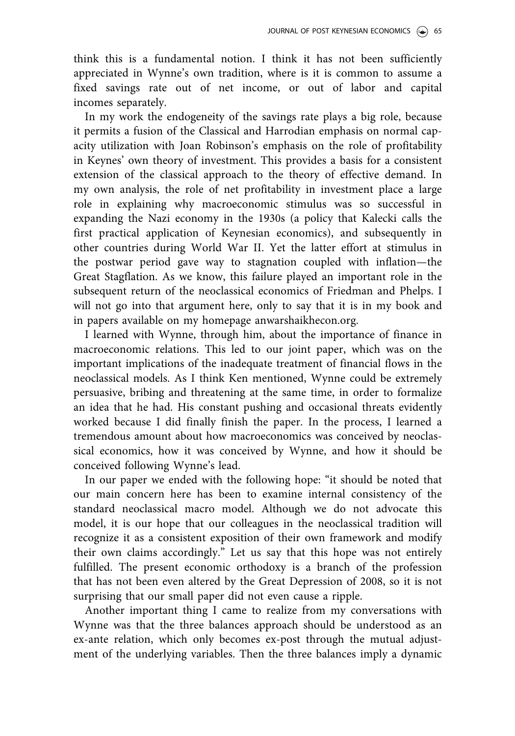think this is a fundamental notion. I think it has not been sufficiently appreciated in Wynne's own tradition, where is it is common to assume a fixed savings rate out of net income, or out of labor and capital incomes separately.

In my work the endogeneity of the savings rate plays a big role, because it permits a fusion of the Classical and Harrodian emphasis on normal capacity utilization with Joan Robinson's emphasis on the role of profitability in Keynes' own theory of investment. This provides a basis for a consistent extension of the classical approach to the theory of effective demand. In my own analysis, the role of net profitability in investment place a large role in explaining why macroeconomic stimulus was so successful in expanding the Nazi economy in the 1930s (a policy that Kalecki calls the first practical application of Keynesian economics), and subsequently in other countries during World War II. Yet the latter effort at stimulus in the postwar period gave way to stagnation coupled with inflation—the Great Stagflation. As we know, this failure played an important role in the subsequent return of the neoclassical economics of Friedman and Phelps. I will not go into that argument here, only to say that it is in my book and in papers available on my homepage anwarshaikhecon.org.

I learned with Wynne, through him, about the importance of finance in macroeconomic relations. This led to our joint paper, which was on the important implications of the inadequate treatment of financial flows in the neoclassical models. As I think Ken mentioned, Wynne could be extremely persuasive, bribing and threatening at the same time, in order to formalize an idea that he had. His constant pushing and occasional threats evidently worked because I did finally finish the paper. In the process, I learned a tremendous amount about how macroeconomics was conceived by neoclassical economics, how it was conceived by Wynne, and how it should be conceived following Wynne's lead.

In our paper we ended with the following hope: "it should be noted that our main concern here has been to examine internal consistency of the standard neoclassical macro model. Although we do not advocate this model, it is our hope that our colleagues in the neoclassical tradition will recognize it as a consistent exposition of their own framework and modify their own claims accordingly." Let us say that this hope was not entirely fulfilled. The present economic orthodoxy is a branch of the profession that has not been even altered by the Great Depression of 2008, so it is not surprising that our small paper did not even cause a ripple.

Another important thing I came to realize from my conversations with Wynne was that the three balances approach should be understood as an ex-ante relation, which only becomes ex-post through the mutual adjustment of the underlying variables. Then the three balances imply a dynamic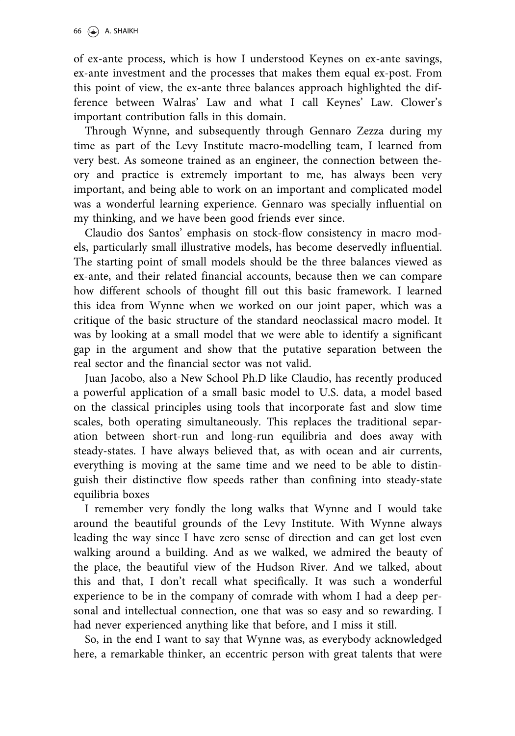of ex-ante process, which is how I understood Keynes on ex-ante savings, ex-ante investment and the processes that makes them equal ex-post. From this point of view, the ex-ante three balances approach highlighted the difference between Walras' Law and what I call Keynes' Law. Clower's important contribution falls in this domain.

Through Wynne, and subsequently through Gennaro Zezza during my time as part of the Levy Institute macro-modelling team, I learned from very best. As someone trained as an engineer, the connection between theory and practice is extremely important to me, has always been very important, and being able to work on an important and complicated model was a wonderful learning experience. Gennaro was specially influential on my thinking, and we have been good friends ever since.

Claudio dos Santos' emphasis on stock-flow consistency in macro models, particularly small illustrative models, has become deservedly influential. The starting point of small models should be the three balances viewed as ex-ante, and their related financial accounts, because then we can compare how different schools of thought fill out this basic framework. I learned this idea from Wynne when we worked on our joint paper, which was a critique of the basic structure of the standard neoclassical macro model. It was by looking at a small model that we were able to identify a significant gap in the argument and show that the putative separation between the real sector and the financial sector was not valid.

Juan Jacobo, also a New School Ph.D like Claudio, has recently produced a powerful application of a small basic model to U.S. data, a model based on the classical principles using tools that incorporate fast and slow time scales, both operating simultaneously. This replaces the traditional separation between short-run and long-run equilibria and does away with steady-states. I have always believed that, as with ocean and air currents, everything is moving at the same time and we need to be able to distinguish their distinctive flow speeds rather than confining into steady-state equilibria boxes

I remember very fondly the long walks that Wynne and I would take around the beautiful grounds of the Levy Institute. With Wynne always leading the way since I have zero sense of direction and can get lost even walking around a building. And as we walked, we admired the beauty of the place, the beautiful view of the Hudson River. And we talked, about this and that, I don't recall what specifically. It was such a wonderful experience to be in the company of comrade with whom I had a deep personal and intellectual connection, one that was so easy and so rewarding. I had never experienced anything like that before, and I miss it still.

So, in the end I want to say that Wynne was, as everybody acknowledged here, a remarkable thinker, an eccentric person with great talents that were